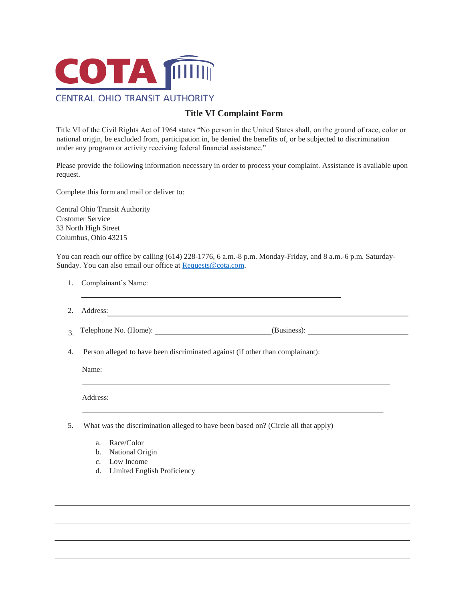

## **Title VI Complaint Form**

Title VI of the Civil Rights Act of 1964 states "No person in the United States shall, on the ground of race, color or national origin, be excluded from, participation in, be denied the benefits of, or be subjected to discrimination under any program or activity receiving federal financial assistance."

Please provide the following information necessary in order to process your complaint. Assistance is available upon request.

Complete this form and mail or deliver to:

Central Ohio Transit Authority Customer Service 33 North High Street Columbus, Ohio 43215

You can reach our office by calling (614) 228-1776, 6 a.m.-8 p.m. Monday-Friday, and 8 a.m.-6 p.m. Saturday-Sunday. You can also email our office at [Requests@cota.com.](mailto:Requests@cota.com)

- 1. Complainant's Name:
- 2. Address:
- 3. Telephone No. (Home): (Business): (Business):

<u> 1980 - Johann Stoff, fransk politik (d. 1980)</u>

4. Person alleged to have been discriminated against (if other than complainant):

Name:

Address:

- 5. What was the discrimination alleged to have been based on? (Circle all that apply)
	- a. Race/Color
	- b. National Origin
	- c. Low Income
	- d. Limited English Proficiency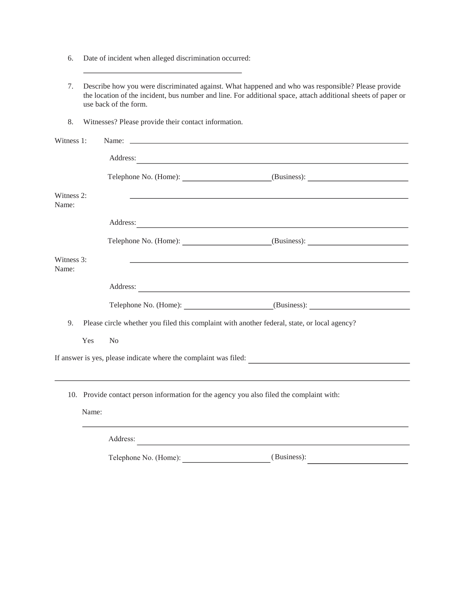- 6. Date of incident when alleged discrimination occurred:
- 7. Describe how you were discriminated against. What happened and who was responsible? Please provide the location of the incident, bus number and line. For additional space, attach additional sheets of paper or use back of the form.
- 8. Witnesses? Please provide their contact information.

| Witness 1:                                                       |                                                                                          | Name: Name: 2008                                                                                                                                                                                                                    |  |
|------------------------------------------------------------------|------------------------------------------------------------------------------------------|-------------------------------------------------------------------------------------------------------------------------------------------------------------------------------------------------------------------------------------|--|
|                                                                  |                                                                                          | Address: <u>and a state of the state of the state of</u> the state of the state of the state of the state of the state of the state of the state of the state of the state of the state of the state of the state of the state of t |  |
|                                                                  |                                                                                          | Telephone No. (Home): (Business): (Business):                                                                                                                                                                                       |  |
| Witness 2:<br>Name:                                              |                                                                                          | <u> 1989 - Johann Stoff, amerikansk politiker (* 1908)</u>                                                                                                                                                                          |  |
|                                                                  |                                                                                          | Address:                                                                                                                                                                                                                            |  |
|                                                                  |                                                                                          | Telephone No. (Home): (Business): (2003)                                                                                                                                                                                            |  |
| Witness 3:<br>Name:                                              |                                                                                          |                                                                                                                                                                                                                                     |  |
|                                                                  |                                                                                          | Address: No. 1996. The Commission of the Commission of the Commission of the Commission of the Commission of the Commission of the Commission of the Commission of the Commission of the Commission of the Commission of the C      |  |
|                                                                  |                                                                                          | Telephone No. (Home): (Business): (Business):                                                                                                                                                                                       |  |
| 9.                                                               |                                                                                          | Please circle whether you filed this complaint with another federal, state, or local agency?                                                                                                                                        |  |
|                                                                  | Yes                                                                                      | N <sub>0</sub>                                                                                                                                                                                                                      |  |
| If answer is yes, please indicate where the complaint was filed: |                                                                                          |                                                                                                                                                                                                                                     |  |
|                                                                  |                                                                                          |                                                                                                                                                                                                                                     |  |
|                                                                  | 10. Provide contact person information for the agency you also filed the complaint with: |                                                                                                                                                                                                                                     |  |
|                                                                  | Name:                                                                                    |                                                                                                                                                                                                                                     |  |
|                                                                  |                                                                                          | Address:                                                                                                                                                                                                                            |  |

Telephone No. (Home): (Business):